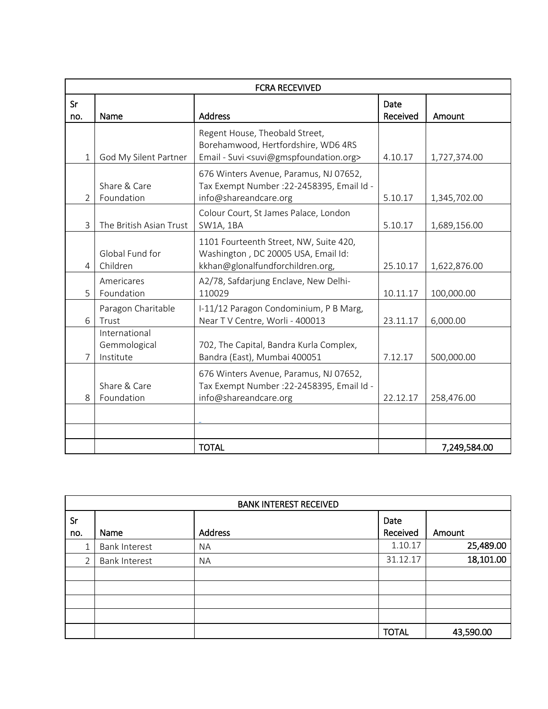| <b>FCRA RECEVIVED</b> |                                            |                                                                                                                                           |                  |              |  |  |
|-----------------------|--------------------------------------------|-------------------------------------------------------------------------------------------------------------------------------------------|------------------|--------------|--|--|
| Sr<br>no.             | Name                                       | <b>Address</b>                                                                                                                            | Date<br>Received | Amount       |  |  |
| $\mathbf{1}$          | God My Silent Partner                      | Regent House, Theobald Street,<br>Borehamwood, Hertfordshire, WD6 4RS<br>Email - Suvi <suvi@gmspfoundation.org></suvi@gmspfoundation.org> | 4.10.17          | 1,727,374.00 |  |  |
| 2                     | Share & Care<br>Foundation                 | 676 Winters Avenue, Paramus, NJ 07652,<br>Tax Exempt Number : 22-2458395, Email Id -<br>info@shareandcare.org                             | 5.10.17          | 1,345,702.00 |  |  |
| 3                     | The British Asian Trust                    | Colour Court, St James Palace, London<br><b>SW1A, 1BA</b>                                                                                 | 5.10.17          | 1,689,156.00 |  |  |
| 4                     | Global Fund for<br>Children                | 1101 Fourteenth Street, NW, Suite 420,<br>Washington, DC 20005 USA, Email Id:<br>kkhan@glonalfundforchildren.org,                         | 25.10.17         | 1,622,876.00 |  |  |
| 5                     | Americares<br>Foundation                   | A2/78, Safdarjung Enclave, New Delhi-<br>110029                                                                                           | 10.11.17         | 100,000.00   |  |  |
| 6                     | Paragon Charitable<br>Trust                | I-11/12 Paragon Condominium, P B Marg,<br>Near TV Centre, Worli - 400013                                                                  | 23.11.17         | 6,000.00     |  |  |
| 7                     | International<br>Gemmological<br>Institute | 702, The Capital, Bandra Kurla Complex,<br>Bandra (East), Mumbai 400051                                                                   | 7.12.17          | 500,000.00   |  |  |
| 8                     | Share & Care<br>Foundation                 | 676 Winters Avenue, Paramus, NJ 07652,<br>Tax Exempt Number : 22-2458395, Email Id -<br>info@shareandcare.org                             | 22.12.17         | 258,476.00   |  |  |
|                       |                                            | <b>TOTAL</b>                                                                                                                              |                  | 7,249,584.00 |  |  |

| <b>BANK INTEREST RECEIVED</b> |                      |           |                  |           |  |  |  |
|-------------------------------|----------------------|-----------|------------------|-----------|--|--|--|
| Sr<br>no.                     | Name                 | Address   | Date<br>Received | Amount    |  |  |  |
|                               | <b>Bank Interest</b> | <b>NA</b> | 1.10.17          | 25,489.00 |  |  |  |
|                               | <b>Bank Interest</b> | <b>NA</b> | 31.12.17         | 18,101.00 |  |  |  |
|                               |                      |           |                  |           |  |  |  |
|                               |                      |           |                  |           |  |  |  |
|                               |                      |           |                  |           |  |  |  |
|                               |                      |           |                  |           |  |  |  |
|                               |                      |           | <b>TOTAL</b>     | 43,590.00 |  |  |  |